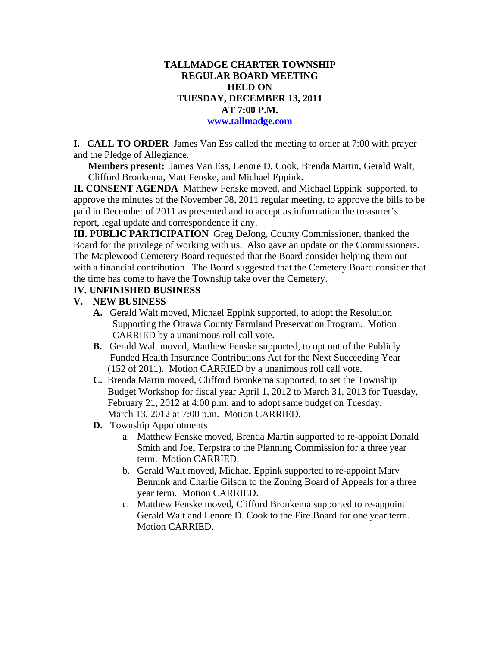# **TALLMADGE CHARTER TOWNSHIP REGULAR BOARD MEETING HELD ON TUESDAY, DECEMBER 13, 2011 AT 7:00 P.M.**

#### **www.tallmadge.com**

**I. CALL TO ORDER** James Van Ess called the meeting to order at 7:00 with prayer and the Pledge of Allegiance.

**Members present:** James Van Ess, Lenore D. Cook, Brenda Martin, Gerald Walt, Clifford Bronkema, Matt Fenske, and Michael Eppink.

**II. CONSENT AGENDA** Matthew Fenske moved, and Michael Eppink supported, to approve the minutes of the November 08, 2011 regular meeting, to approve the bills to be paid in December of 2011 as presented and to accept as information the treasurer's report, legal update and correspondence if any.

**III. PUBLIC PARTICIPATION** Greg DeJong, County Commissioner, thanked the Board for the privilege of working with us. Also gave an update on the Commissioners. The Maplewood Cemetery Board requested that the Board consider helping them out with a financial contribution. The Board suggested that the Cemetery Board consider that the time has come to have the Township take over the Cemetery.

### **IV. UNFINISHED BUSINESS**

### **V. NEW BUSINESS**

- **A.** Gerald Walt moved, Michael Eppink supported, to adopt the Resolution Supporting the Ottawa County Farmland Preservation Program. Motion CARRIED by a unanimous roll call vote.
- **B.** Gerald Walt moved, Matthew Fenske supported, to opt out of the Publicly Funded Health Insurance Contributions Act for the Next Succeeding Year (152 of 2011). Motion CARRIED by a unanimous roll call vote.
- **C.** Brenda Martin moved, Clifford Bronkema supported, to set the Township Budget Workshop for fiscal year April 1, 2012 to March 31, 2013 for Tuesday, February 21, 2012 at 4:00 p.m. and to adopt same budget on Tuesday, March 13, 2012 at 7:00 p.m. Motion CARRIED.
- **D.** Township Appointments
	- a. Matthew Fenske moved, Brenda Martin supported to re-appoint Donald Smith and Joel Terpstra to the Planning Commission for a three year term. Motion CARRIED.
	- b. Gerald Walt moved, Michael Eppink supported to re-appoint Marv Bennink and Charlie Gilson to the Zoning Board of Appeals for a three year term. Motion CARRIED.
	- c. Matthew Fenske moved, Clifford Bronkema supported to re-appoint Gerald Walt and Lenore D. Cook to the Fire Board for one year term. Motion CARRIED.